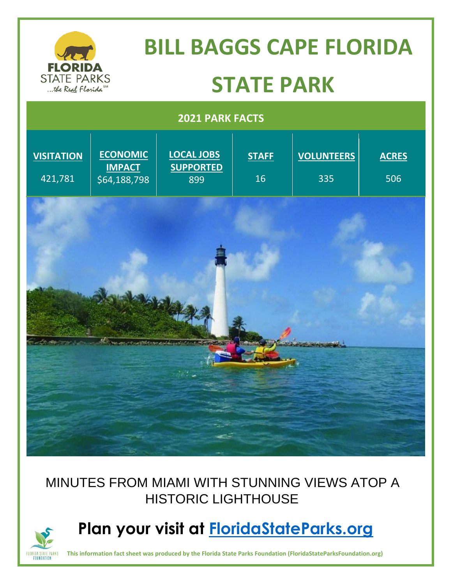

### MINUTES FROM MIAMI WITH STUNNING VIEWS ATOP A HISTORIC LIGHTHOUSE



## **Plan your visit at [FloridaStateParks.org](http://www.floridastateparks.org/)**

**FLORIDA STATE PARKS** This information fact sheet was produced by the Florida State Parks Foundation (FloridaStateParksFoundation.org)